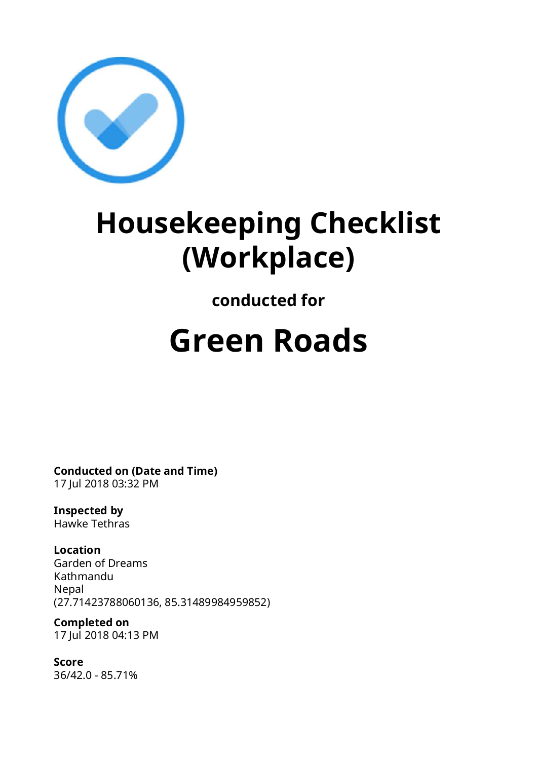

# **Housekeeping Checklist (Workplace)**

## **conducted for**

# **Green Roads**

**Conducted on (Date and Time)** 17 Jul 2018 03:32 PM

**Inspected by** Hawke Tethras

**Location** Garden of Dreams Kathmandu Nepal (27.71423788060136, 85.31489984959852)

**Completed on** 17 Jul 2018 04:13 PM

**Score** 36/42.0 - 85.71%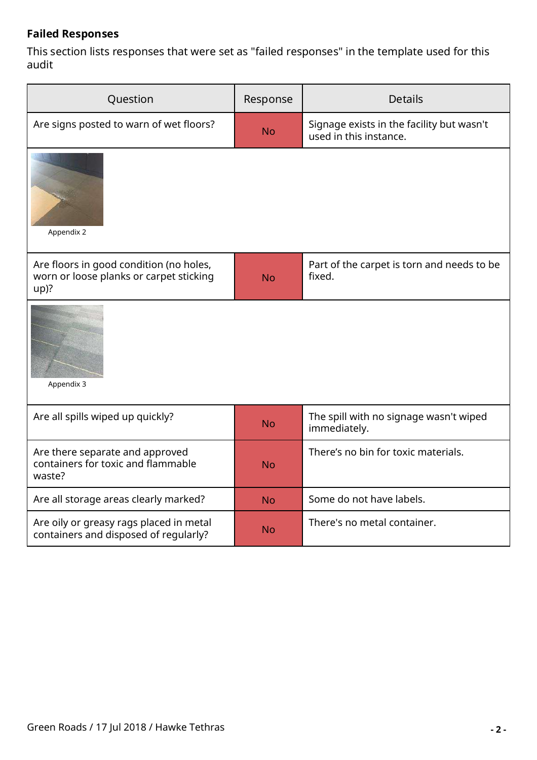#### **Failed Responses**

This section lists responses that were set as "failed responses" in the template used for this audit

| Question                                                                                      | Response  | <b>Details</b>                                                      |  |
|-----------------------------------------------------------------------------------------------|-----------|---------------------------------------------------------------------|--|
| Are signs posted to warn of wet floors?                                                       | <b>No</b> | Signage exists in the facility but wasn't<br>used in this instance. |  |
| Appendix 2                                                                                    |           |                                                                     |  |
| Are floors in good condition (no holes,<br>worn or loose planks or carpet sticking<br>$up)$ ? | <b>No</b> | Part of the carpet is torn and needs to be<br>fixed.                |  |
| Appendix 3                                                                                    |           |                                                                     |  |
| Are all spills wiped up quickly?                                                              | <b>No</b> | The spill with no signage wasn't wiped<br>immediately.              |  |
| Are there separate and approved<br>containers for toxic and flammable<br>waste?               | <b>No</b> | There's no bin for toxic materials.                                 |  |
| Are all storage areas clearly marked?                                                         | <b>No</b> | Some do not have labels.                                            |  |
| Are oily or greasy rags placed in metal<br>containers and disposed of regularly?              | <b>No</b> | There's no metal container.                                         |  |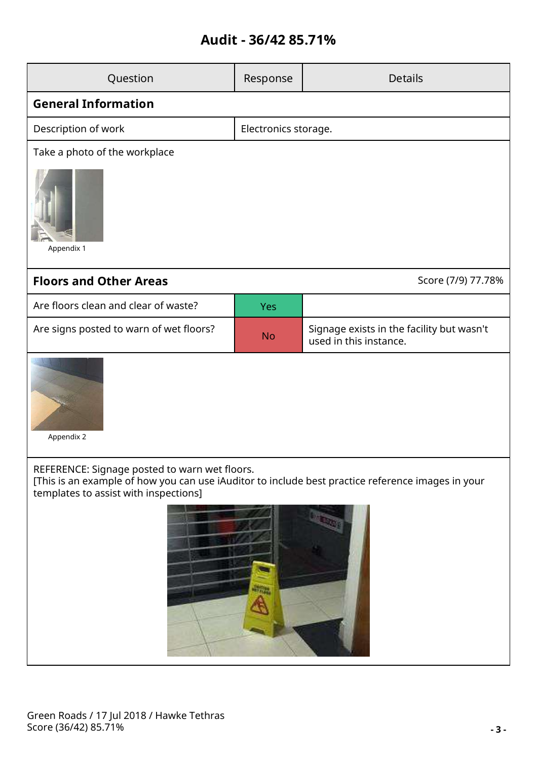### **Audit - 36/42 85.71%**

| Question                                                                                                                                                                                            | Response             | <b>Details</b>                                                      |  |  |
|-----------------------------------------------------------------------------------------------------------------------------------------------------------------------------------------------------|----------------------|---------------------------------------------------------------------|--|--|
| <b>General Information</b>                                                                                                                                                                          |                      |                                                                     |  |  |
| Description of work                                                                                                                                                                                 | Electronics storage. |                                                                     |  |  |
| Take a photo of the workplace                                                                                                                                                                       |                      |                                                                     |  |  |
| Appendix 1                                                                                                                                                                                          |                      |                                                                     |  |  |
| <b>Floors and Other Areas</b>                                                                                                                                                                       |                      | Score (7/9) 77.78%                                                  |  |  |
| Are floors clean and clear of waste?                                                                                                                                                                | <b>Yes</b>           |                                                                     |  |  |
| Are signs posted to warn of wet floors?                                                                                                                                                             | <b>No</b>            | Signage exists in the facility but wasn't<br>used in this instance. |  |  |
| Appendix 2                                                                                                                                                                                          |                      |                                                                     |  |  |
| REFERENCE: Signage posted to warn wet floors.<br>[This is an example of how you can use iAuditor to include best practice reference images in your<br>templates to assist with inspections]<br>an F |                      |                                                                     |  |  |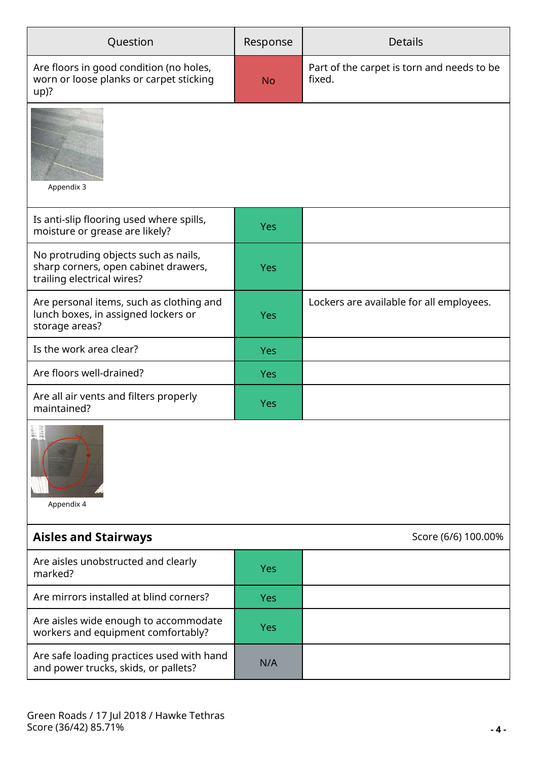| Question                                                                                                   | Response   | <b>Details</b>                                       |  |
|------------------------------------------------------------------------------------------------------------|------------|------------------------------------------------------|--|
| Are floors in good condition (no holes,<br>worn or loose planks or carpet sticking<br>$up)$ ?              | <b>No</b>  | Part of the carpet is torn and needs to be<br>fixed. |  |
| Appendix 3                                                                                                 |            |                                                      |  |
| Is anti-slip flooring used where spills,<br>moisture or grease are likely?                                 | <b>Yes</b> |                                                      |  |
| No protruding objects such as nails,<br>sharp corners, open cabinet drawers,<br>trailing electrical wires? | <b>Yes</b> |                                                      |  |
| Are personal items, such as clothing and<br>lunch boxes, in assigned lockers or<br>storage areas?          | <b>Yes</b> | Lockers are available for all employees.             |  |
| Is the work area clear?                                                                                    | <b>Yes</b> |                                                      |  |
| Are floors well-drained?                                                                                   | <b>Yes</b> |                                                      |  |
| Are all air vents and filters properly<br>maintained?                                                      | <b>Yes</b> |                                                      |  |
| FITH<br>Appendix 4                                                                                         |            |                                                      |  |
| Score (6/6) 100.00%<br><b>Aisles and Stairways</b>                                                         |            |                                                      |  |
| Are aisles unobstructed and clearly<br>marked?                                                             | <b>Yes</b> |                                                      |  |
| Are mirrors installed at blind corners?                                                                    | <b>Yes</b> |                                                      |  |
| Are aisles wide enough to accommodate<br>workers and equipment comfortably?                                | <b>Yes</b> |                                                      |  |

Are safe loading practices used with hand<br>and power trucks, skids, or pallets?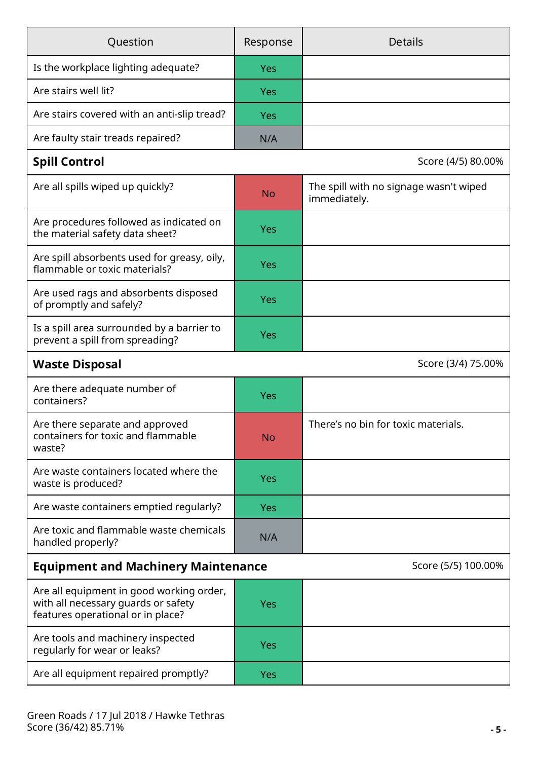| Question                                                                                                             | Response   | <b>Details</b>                                         |  |
|----------------------------------------------------------------------------------------------------------------------|------------|--------------------------------------------------------|--|
| Is the workplace lighting adequate?                                                                                  | <b>Yes</b> |                                                        |  |
| Are stairs well lit?                                                                                                 | <b>Yes</b> |                                                        |  |
| Are stairs covered with an anti-slip tread?                                                                          | <b>Yes</b> |                                                        |  |
| Are faulty stair treads repaired?                                                                                    | N/A        |                                                        |  |
| <b>Spill Control</b>                                                                                                 |            | Score (4/5) 80.00%                                     |  |
| Are all spills wiped up quickly?                                                                                     | <b>No</b>  | The spill with no signage wasn't wiped<br>immediately. |  |
| Are procedures followed as indicated on<br>the material safety data sheet?                                           | Yes        |                                                        |  |
| Are spill absorbents used for greasy, oily,<br>flammable or toxic materials?                                         | <b>Yes</b> |                                                        |  |
| Are used rags and absorbents disposed<br>of promptly and safely?                                                     | <b>Yes</b> |                                                        |  |
| Is a spill area surrounded by a barrier to<br>prevent a spill from spreading?                                        | Yes        |                                                        |  |
| <b>Waste Disposal</b>                                                                                                |            | Score (3/4) 75.00%                                     |  |
| Are there adequate number of<br>containers?                                                                          | <b>Yes</b> |                                                        |  |
| Are there separate and approved<br>containers for toxic and flammable<br>waste?                                      | <b>No</b>  | There's no bin for toxic materials.                    |  |
| Are waste containers located where the<br>waste is produced?                                                         | <b>Yes</b> |                                                        |  |
| Are waste containers emptied regularly?                                                                              | <b>Yes</b> |                                                        |  |
| Are toxic and flammable waste chemicals<br>handled properly?                                                         | N/A        |                                                        |  |
| <b>Equipment and Machinery Maintenance</b><br>Score (5/5) 100.00%                                                    |            |                                                        |  |
| Are all equipment in good working order,<br>with all necessary guards or safety<br>features operational or in place? | <b>Yes</b> |                                                        |  |
| Are tools and machinery inspected<br>regularly for wear or leaks?                                                    | <b>Yes</b> |                                                        |  |
| Are all equipment repaired promptly?                                                                                 | <b>Yes</b> |                                                        |  |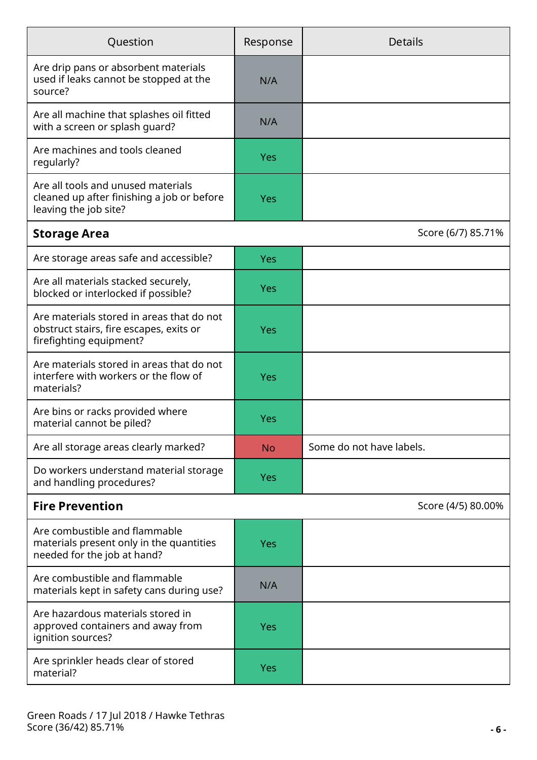| Question                                                                                                        | Response   | <b>Details</b>           |  |
|-----------------------------------------------------------------------------------------------------------------|------------|--------------------------|--|
| Are drip pans or absorbent materials<br>used if leaks cannot be stopped at the<br>source?                       | N/A        |                          |  |
| Are all machine that splashes oil fitted<br>with a screen or splash guard?                                      | N/A        |                          |  |
| Are machines and tools cleaned<br>regularly?                                                                    | <b>Yes</b> |                          |  |
| Are all tools and unused materials<br>cleaned up after finishing a job or before<br>leaving the job site?       | <b>Yes</b> |                          |  |
| <b>Storage Area</b><br>Score (6/7) 85.71%                                                                       |            |                          |  |
| Are storage areas safe and accessible?                                                                          | <b>Yes</b> |                          |  |
| Are all materials stacked securely,<br>blocked or interlocked if possible?                                      | <b>Yes</b> |                          |  |
| Are materials stored in areas that do not<br>obstruct stairs, fire escapes, exits or<br>firefighting equipment? | <b>Yes</b> |                          |  |
| Are materials stored in areas that do not<br>interfere with workers or the flow of<br>materials?                | <b>Yes</b> |                          |  |
| Are bins or racks provided where<br>material cannot be piled?                                                   | <b>Yes</b> |                          |  |
| Are all storage areas clearly marked?                                                                           | <b>No</b>  | Some do not have labels. |  |
| Do workers understand material storage<br>and handling procedures?                                              | <b>Yes</b> |                          |  |
| <b>Fire Prevention</b>                                                                                          |            | Score (4/5) 80.00%       |  |
| Are combustible and flammable<br>materials present only in the quantities<br>needed for the job at hand?        | <b>Yes</b> |                          |  |
| Are combustible and flammable<br>materials kept in safety cans during use?                                      | N/A        |                          |  |
| Are hazardous materials stored in<br>approved containers and away from<br>ignition sources?                     | <b>Yes</b> |                          |  |
| Are sprinkler heads clear of stored<br>material?                                                                | <b>Yes</b> |                          |  |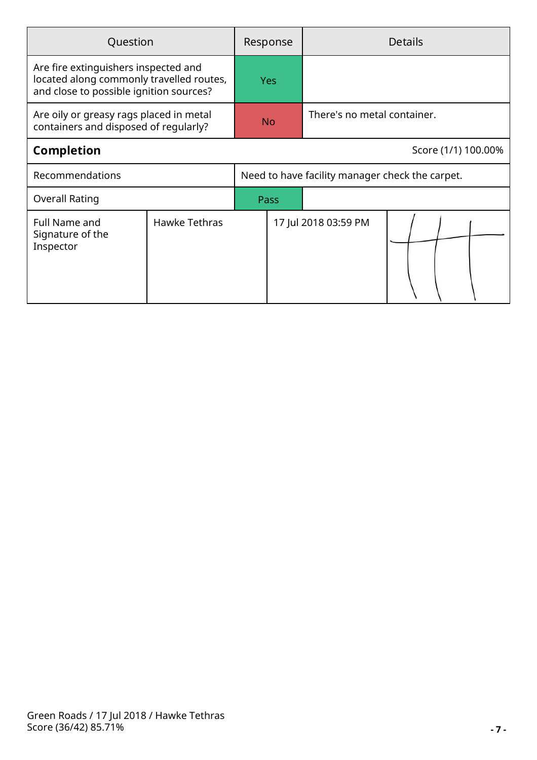| Question                                                                                                                    |                      |                                                 | Response   | <b>Details</b>              |  |
|-----------------------------------------------------------------------------------------------------------------------------|----------------------|-------------------------------------------------|------------|-----------------------------|--|
| Are fire extinguishers inspected and<br>located along commonly travelled routes,<br>and close to possible ignition sources? |                      |                                                 | <b>Yes</b> |                             |  |
| Are oily or greasy rags placed in metal<br>containers and disposed of regularly?                                            |                      |                                                 | <b>No</b>  | There's no metal container. |  |
| <b>Completion</b><br>Score (1/1) 100.00%                                                                                    |                      |                                                 |            |                             |  |
| Recommendations                                                                                                             |                      | Need to have facility manager check the carpet. |            |                             |  |
| <b>Overall Rating</b><br>Pass                                                                                               |                      |                                                 |            |                             |  |
| <b>Full Name and</b><br>Signature of the<br>Inspector                                                                       | <b>Hawke Tethras</b> |                                                 |            | 17 Jul 2018 03:59 PM        |  |